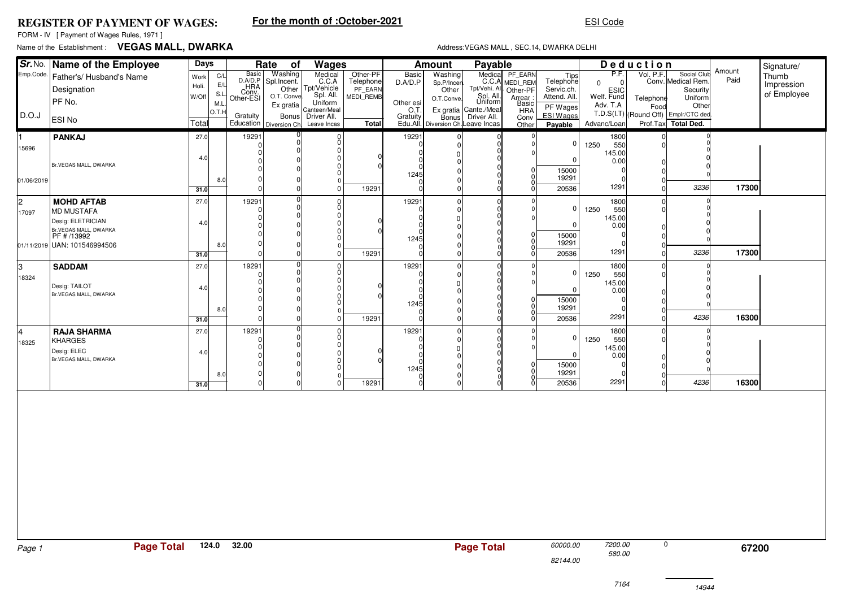### **REGISTER OF PAYMENT OF WAGES:**

# **For the month of :October-2021**

FORM - IV [ Payment of Wages Rules, 1971 ]

## Name of the Establishment : **VEGAS MALL, DWARKA**

#### Address:VEGAS MALL , SEC.14, DWARKA DELHI

ESI Code

|            | Sr. No. Name of the Employee<br>Days  |              |            | Rate of<br>Wages          |                         |                                                          |                      |                  | Payable<br><b>Amount</b>                    |                                                              |                  |                         |                          | Deduction |                                               |                | Signature/  |
|------------|---------------------------------------|--------------|------------|---------------------------|-------------------------|----------------------------------------------------------|----------------------|------------------|---------------------------------------------|--------------------------------------------------------------|------------------|-------------------------|--------------------------|-----------|-----------------------------------------------|----------------|-------------|
| Emp.Code.  | Father's/ Husband's Name              | Work         | C/L        | Basic<br>D.A/D.P          | Washing                 | Medical<br>C.C.A                                         | Other-PF             | <b>Basic</b>     | Washing                                     |                                                              |                  | Tips                    | P.F.                     | Vol. P.F. | Social Club                                   | Amount<br>Paid | Thumb       |
|            | Designation                           | Holi.        | E/L        |                           | Spl.Incent.             | Other Tpt/Vehicle                                        | Telephone<br>PF_EARN | D.A/D.P          | Sp.P/Incen<br>Other                         | Medical PF_EARN<br>C.C.A MEDI_REM<br>Tpt/Vehi. All. Other-PF | Other-PF         | Telephone<br>Servic.ch. | $\Omega$<br>$\mathbf{0}$ |           | Conv. Medical Rem.<br>Security                |                | Impression  |
|            | PF No.                                | W/Off        | S.L<br>M.L | HRA<br>Conv.<br>Other-ESI | O.T. Conve              | Uniform                                                  | MEDI REMB            | Other esi        | O.T.Conve.                                  | Spl. All.<br>Uniform                                         | Arrear:<br>Basic | Attend. All.            | ESIC<br>Welf. Fund       | Telephone | Uniform                                       |                | of Employee |
| D.O.J      |                                       |              | O.T.H      | Gratuity                  | Ex gratia<br>Bonus      | Canteen/Meal<br>Driver All.                              |                      | O.T.<br>Gratuity |                                             | Ex gratia Cante /Meal                                        | <b>HRA</b>       | PF Wages<br>ESI Wages   | Adv. T.A                 | Food      | Other<br>T.D.S(I.T) (Round Off) Emplr/CTC ded |                |             |
|            | <b>ESI No</b>                         | Total        |            |                           | Education Diversion Ch. | Leave Incas                                              | Total                |                  | Bonus<br>Edu.All. Diversion Ch. Leave Incas | Driver All.                                                  | Conv<br>Other    | Payable                 | Advanc/Loan              |           | Prof.Tax Total Ded.                           |                |             |
| I1.        | <b>PANKAJ</b>                         | 27.0         |            | 19291                     |                         | $\frac{0}{0}$                                            |                      | 19291            |                                             |                                                              |                  |                         | 1800                     |           |                                               |                |             |
| 15696      |                                       |              |            | $\Omega$                  |                         | $\overline{0}$                                           |                      |                  | 0                                           |                                                              |                  | $\mathbf 0$             | 1250<br>550<br>145.00    |           |                                               |                |             |
|            | Br.VEGAS MALL, DWARKA                 | 4.0          |            |                           |                         | 0<br>0                                                   |                      |                  |                                             |                                                              |                  | $\mathbf 0$             | 0.00                     |           |                                               |                |             |
|            |                                       |              |            |                           |                         | 0                                                        |                      | 1245             |                                             |                                                              | 0<br> 0          | 15000<br>19291          |                          |           |                                               |                |             |
| 01/06/2019 |                                       | 31.0         | 8.0        | $\Omega$                  | $\Omega$                | $\Omega$<br>$\overline{0}$                               | 19291                |                  | O                                           |                                                              |                  | 20536                   | 1291                     |           | 3236                                          | 17300          |             |
| 2          | <b>MOHD AFTAB</b>                     | 27.0         |            | 19291                     | $\Omega$                |                                                          |                      | 19291            | $\Omega$                                    | $\Omega$                                                     |                  |                         | 1800                     |           |                                               |                |             |
| 17097      | MD MUSTAFA                            |              |            | $\Omega$                  |                         | $\begin{bmatrix} 0 \\ 0 \end{bmatrix}$<br>$\overline{0}$ |                      |                  | $\Omega$                                    | 0<br>$\Omega$                                                |                  | 0                       | 1250<br>550              |           |                                               |                |             |
|            | Desig: ELETRICIAN                     | 4.0          |            |                           |                         | 0                                                        |                      |                  | $\Omega$                                    | $\Omega$                                                     |                  | $\Omega$                | 145.00<br>0.00           |           |                                               |                |             |
|            | Br. VEGAS MALL, DWARKA<br>PF # /13992 |              |            |                           |                         | 0<br>$\Omega$                                            |                      | 1245             |                                             |                                                              | $\overline{0}$   | 15000                   |                          |           |                                               |                |             |
|            | 01/11/2019 UAN: 101546994506          |              | 8.0        | $\Omega$<br>$\Omega$      |                         | $\Omega$<br>$\overline{0}$                               | 19291                |                  |                                             |                                                              | 0                | 19291<br>20536          | 1291                     |           | 3236                                          | 17300          |             |
|            |                                       | 31.0<br>27.0 |            | 19291                     |                         |                                                          |                      | 19291            | <sup>0</sup>                                |                                                              | $\Omega$         |                         | 1800                     |           |                                               |                |             |
| 3<br>18324 | <b>SADDAM</b>                         |              |            | $\Omega$                  |                         | $\begin{bmatrix} 0 \\ 0 \end{bmatrix}$                   |                      |                  |                                             |                                                              |                  | $\Omega$                | 1250<br>550              |           |                                               |                |             |
|            | Desig: TAILOT                         | 4.0          |            |                           |                         | $\overline{0}$<br>0                                      |                      |                  | 0                                           |                                                              |                  | 0                       | 145.00<br>0.00           |           |                                               |                |             |
|            | Br.VEGAS MALL, DWARKA                 |              |            |                           |                         | 0<br>0                                                   |                      |                  |                                             |                                                              | $\overline{0}$   | 15000                   |                          |           |                                               |                |             |
|            |                                       |              | 8.0        | $\Omega$                  |                         | $\Omega$                                                 |                      | 1245             |                                             |                                                              | $\overline{0}$   | 19291                   |                          |           |                                               |                |             |
|            |                                       | 31.0         |            | $\Omega$                  | $\Omega$                | $\overline{0}$                                           | 19291                |                  | $\Omega$                                    |                                                              |                  | 20536                   | 2291                     |           | 4236                                          | 16300          |             |
| l4         | <b>RAJA SHARMA</b><br><b>KHARGES</b>  | 27.0         |            | 19291<br>$\Omega$         |                         | $^{\rm o}_{\rm o}$                                       |                      | 19291            | ŋ                                           | O                                                            |                  | 0                       | 1800<br>1250<br>550      |           |                                               |                |             |
| 18325      | Desig: ELEC                           | 4.0          |            | $\Omega$                  |                         | 0<br>0                                                   |                      |                  | ŋ                                           |                                                              |                  |                         | 145.00                   |           |                                               |                |             |
|            | Br.VEGAS MALL, DWARKA                 |              |            |                           |                         | 0                                                        |                      |                  |                                             |                                                              | $\overline{0}$   | $\Omega$<br>15000       | 0.00                     |           |                                               |                |             |
|            |                                       |              | 8.0        | $\Omega$                  |                         | 0<br>$\Omega$                                            |                      | 1245             |                                             |                                                              | $\overline{0}$   | 19291                   |                          |           |                                               |                |             |
|            |                                       | 31.0         |            | $\Omega$                  |                         | $\Omega$                                                 | 19291                |                  |                                             |                                                              |                  | 20536                   | 2291                     |           | 4236                                          | 16300          |             |
|            |                                       |              |            |                           |                         |                                                          |                      |                  |                                             |                                                              |                  |                         |                          |           |                                               |                |             |
|            |                                       |              |            |                           |                         |                                                          |                      |                  |                                             |                                                              |                  |                         |                          |           |                                               |                |             |
|            |                                       |              |            |                           |                         |                                                          |                      |                  |                                             |                                                              |                  |                         |                          |           |                                               |                |             |
|            |                                       |              |            |                           |                         |                                                          |                      |                  |                                             |                                                              |                  |                         |                          |           |                                               |                |             |
|            |                                       |              |            |                           |                         |                                                          |                      |                  |                                             |                                                              |                  |                         |                          |           |                                               |                |             |
|            |                                       |              |            |                           |                         |                                                          |                      |                  |                                             |                                                              |                  |                         |                          |           |                                               |                |             |
|            |                                       |              |            |                           |                         |                                                          |                      |                  |                                             |                                                              |                  |                         |                          |           |                                               |                |             |
|            |                                       |              |            |                           |                         |                                                          |                      |                  |                                             |                                                              |                  |                         |                          |           |                                               |                |             |
|            |                                       |              |            |                           |                         |                                                          |                      |                  |                                             |                                                              |                  |                         |                          |           |                                               |                |             |
|            |                                       |              |            |                           |                         |                                                          |                      |                  |                                             |                                                              |                  |                         |                          |           |                                               |                |             |
|            |                                       |              |            |                           |                         |                                                          |                      |                  |                                             |                                                              |                  |                         |                          |           |                                               |                |             |
| Page 1     | <b>Page Total</b>                     |              | 124.0      | 32.00                     |                         |                                                          |                      |                  |                                             | <b>Page Total</b>                                            |                  | 60000.00                | 7200.00                  | 0         |                                               | 67200          |             |
|            |                                       |              |            |                           |                         |                                                          |                      |                  |                                             |                                                              |                  | 82144.00                | 580.00                   |           |                                               |                |             |
|            |                                       |              |            |                           |                         |                                                          |                      |                  |                                             |                                                              |                  |                         |                          |           |                                               |                |             |
|            |                                       |              |            |                           |                         |                                                          |                      |                  |                                             |                                                              |                  |                         | 7164                     |           | 14944                                         |                |             |